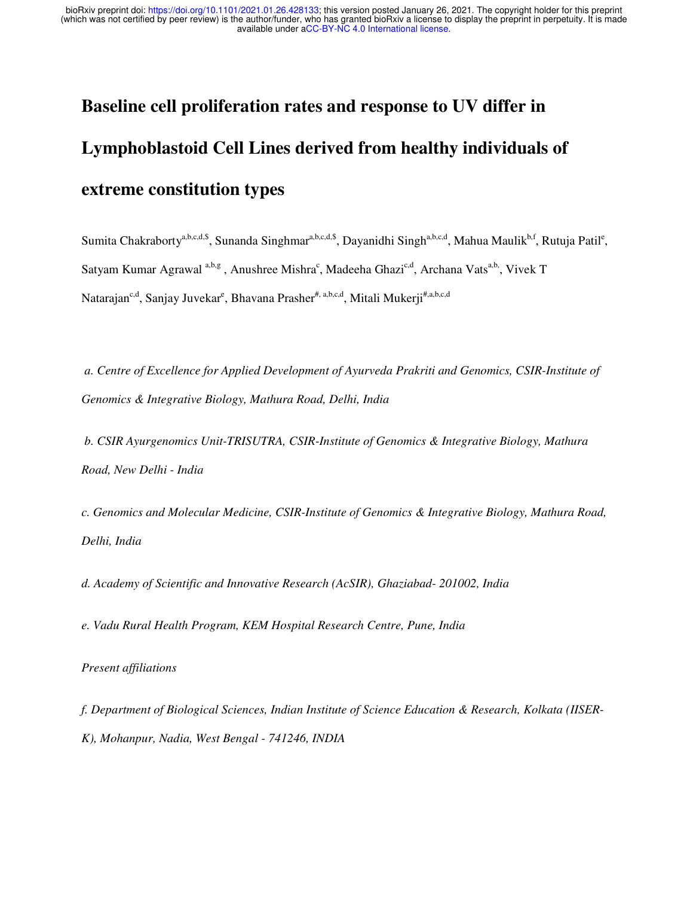# **Baseline cell proliferation rates and response to UV differ in Lymphoblastoid Cell Lines derived from healthy individuals of extreme constitution types**

Sumita Chakraborty<sup>a,b,c,d,\$</sup>, Sunanda Singhmar<sup>a,b,c,d,\$</sup>, Dayanidhi Singh<sup>a,b,c,d</sup>, Mahua Maulik<sup>b,f</sup>, Rutuja Patil<sup>e</sup>, Satyam Kumar Agrawal<sup>a,b,g</sup>, Anushree Mishra<sup>c</sup>, Madeeha Ghazi<sup>c,d</sup>, Archana Vats<sup>a,b,</sup>, Vivek T Natarajan<sup>c,d</sup>, Sanjay Juvekar<sup>e</sup>, Bhavana Prasher<sup>#, a,b,c,d</sup>, Mitali Mukerji<sup>#,a,b,c,d</sup>

*a. Centre of Excellence for Applied Development of Ayurveda Prakriti and Genomics, CSIR-Institute of Genomics & Integrative Biology, Mathura Road, Delhi, India*

 *b. CSIR Ayurgenomics Unit-TRISUTRA, CSIR-Institute of Genomics & Integrative Biology, Mathura Road, New Delhi - India*

*c. Genomics and Molecular Medicine, CSIR-Institute of Genomics & Integrative Biology, Mathura Road, Delhi, India*

*d. Academy of Scientific and Innovative Research (AcSIR), Ghaziabad- 201002, India*

*e. Vadu Rural Health Program, KEM Hospital Research Centre, Pune, India*

#### *Present affiliations*

*f. Department of Biological Sciences, Indian Institute of Science Education & Research, Kolkata (IISER-K), Mohanpur, Nadia, West Bengal - 741246, INDIA*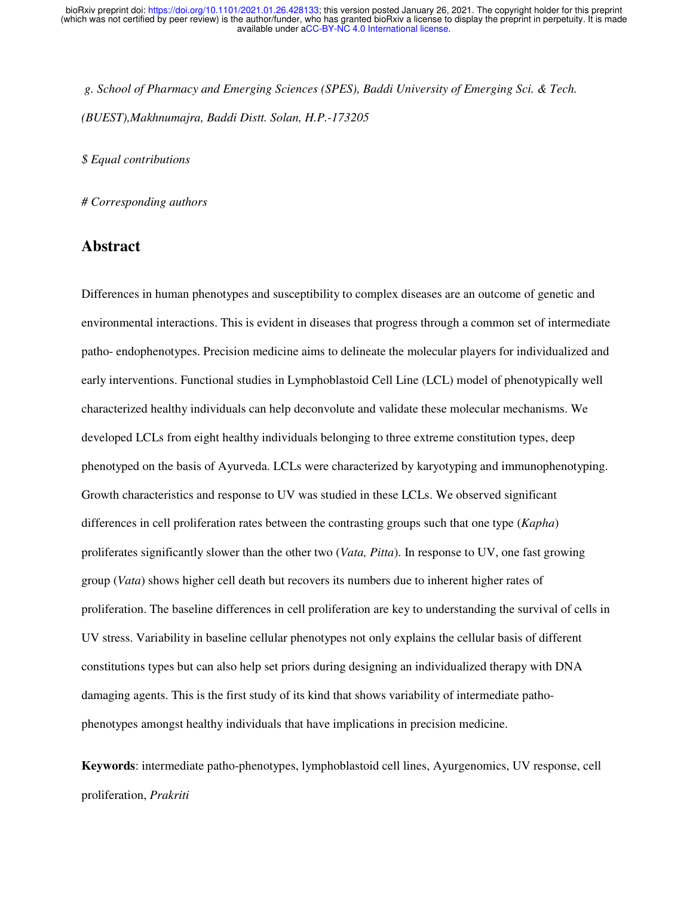*g. School of Pharmacy and Emerging Sciences (SPES), Baddi University of Emerging Sci. & Tech. (BUEST),Makhnumajra, Baddi Distt. Solan, H.P.-173205*

*\$ Equal contributions*

*# Corresponding authors* 

#### **Abstract**

Differences in human phenotypes and susceptibility to complex diseases are an outcome of genetic and environmental interactions. This is evident in diseases that progress through a common set of intermediate patho- endophenotypes. Precision medicine aims to delineate the molecular players for individualized and early interventions. Functional studies in Lymphoblastoid Cell Line (LCL) model of phenotypically well characterized healthy individuals can help deconvolute and validate these molecular mechanisms. We developed LCLs from eight healthy individuals belonging to three extreme constitution types, deep phenotyped on the basis of Ayurveda. LCLs were characterized by karyotyping and immunophenotyping. Growth characteristics and response to UV was studied in these LCLs. We observed significant differences in cell proliferation rates between the contrasting groups such that one type (*Kapha*) proliferates significantly slower than the other two (*Vata, Pitta*). In response to UV, one fast growing group (*Vata*) shows higher cell death but recovers its numbers due to inherent higher rates of proliferation. The baseline differences in cell proliferation are key to understanding the survival of cells in UV stress. Variability in baseline cellular phenotypes not only explains the cellular basis of different constitutions types but can also help set priors during designing an individualized therapy with DNA damaging agents. This is the first study of its kind that shows variability of intermediate pathophenotypes amongst healthy individuals that have implications in precision medicine.

**Keywords**: intermediate patho-phenotypes, lymphoblastoid cell lines, Ayurgenomics, UV response, cell proliferation, *Prakriti*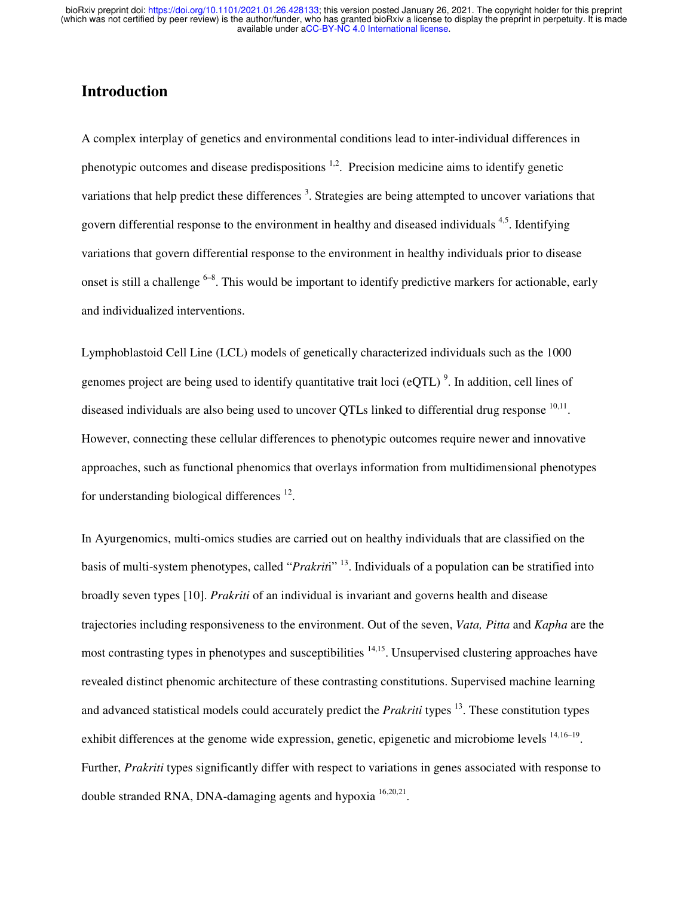### **Introduction**

A complex interplay of genetics and environmental conditions lead to inter-individual differences in phenotypic outcomes and disease predispositions  $1,2$ . Precision medicine aims to identify genetic variations that help predict these differences<sup>3</sup>. Strategies are being attempted to uncover variations that govern differential response to the environment in healthy and diseased individuals <sup>4,5</sup>. Identifying variations that govern differential response to the environment in healthy individuals prior to disease onset is still a challenge  $6-8$ . This would be important to identify predictive markers for actionable, early and individualized interventions.

Lymphoblastoid Cell Line (LCL) models of genetically characterized individuals such as the 1000 genomes project are being used to identify quantitative trait loci ( $eQTL$ )<sup>9</sup>. In addition, cell lines of diseased individuals are also being used to uncover QTLs linked to differential drug response  $10,11$ . However, connecting these cellular differences to phenotypic outcomes require newer and innovative approaches, such as functional phenomics that overlays information from multidimensional phenotypes for understanding biological differences  $12$ .

In Ayurgenomics, multi-omics studies are carried out on healthy individuals that are classified on the basis of multi-system phenotypes, called "*Prakrit*i" <sup>13</sup>. Individuals of a population can be stratified into broadly seven types [10]. *Prakriti* of an individual is invariant and governs health and disease trajectories including responsiveness to the environment. Out of the seven, *Vata, Pitta* and *Kapha* are the most contrasting types in phenotypes and susceptibilities 14,15. Unsupervised clustering approaches have revealed distinct phenomic architecture of these contrasting constitutions. Supervised machine learning and advanced statistical models could accurately predict the *Prakriti* types<sup>13</sup>. These constitution types exhibit differences at the genome wide expression, genetic, epigenetic and microbiome levels <sup>14,16–19</sup>. Further, *Prakriti* types significantly differ with respect to variations in genes associated with response to double stranded RNA, DNA-damaging agents and hypoxia <sup>16,20,21</sup>.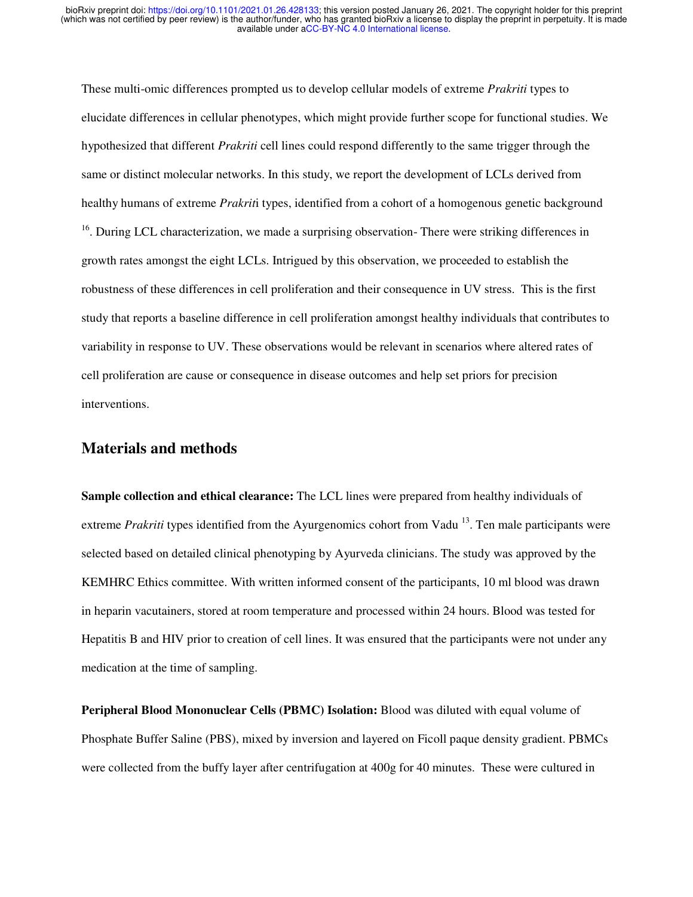These multi-omic differences prompted us to develop cellular models of extreme *Prakriti* types to elucidate differences in cellular phenotypes, which might provide further scope for functional studies. We hypothesized that different *Prakriti* cell lines could respond differently to the same trigger through the same or distinct molecular networks. In this study, we report the development of LCLs derived from healthy humans of extreme *Prakrit*i types, identified from a cohort of a homogenous genetic background  $16$ . During LCL characterization, we made a surprising observation- There were striking differences in growth rates amongst the eight LCLs. Intrigued by this observation, we proceeded to establish the robustness of these differences in cell proliferation and their consequence in UV stress. This is the first study that reports a baseline difference in cell proliferation amongst healthy individuals that contributes to variability in response to UV. These observations would be relevant in scenarios where altered rates of cell proliferation are cause or consequence in disease outcomes and help set priors for precision interventions.

#### **Materials and methods**

**Sample collection and ethical clearance:** The LCL lines were prepared from healthy individuals of extreme *Prakriti* types identified from the Ayurgenomics cohort from Vadu<sup>13</sup>. Ten male participants were selected based on detailed clinical phenotyping by Ayurveda clinicians. The study was approved by the KEMHRC Ethics committee. With written informed consent of the participants, 10 ml blood was drawn in heparin vacutainers, stored at room temperature and processed within 24 hours. Blood was tested for Hepatitis B and HIV prior to creation of cell lines. It was ensured that the participants were not under any medication at the time of sampling.

**Peripheral Blood Mononuclear Cells (PBMC) Isolation:** Blood was diluted with equal volume of Phosphate Buffer Saline (PBS), mixed by inversion and layered on Ficoll paque density gradient. PBMCs were collected from the buffy layer after centrifugation at 400g for 40 minutes. These were cultured in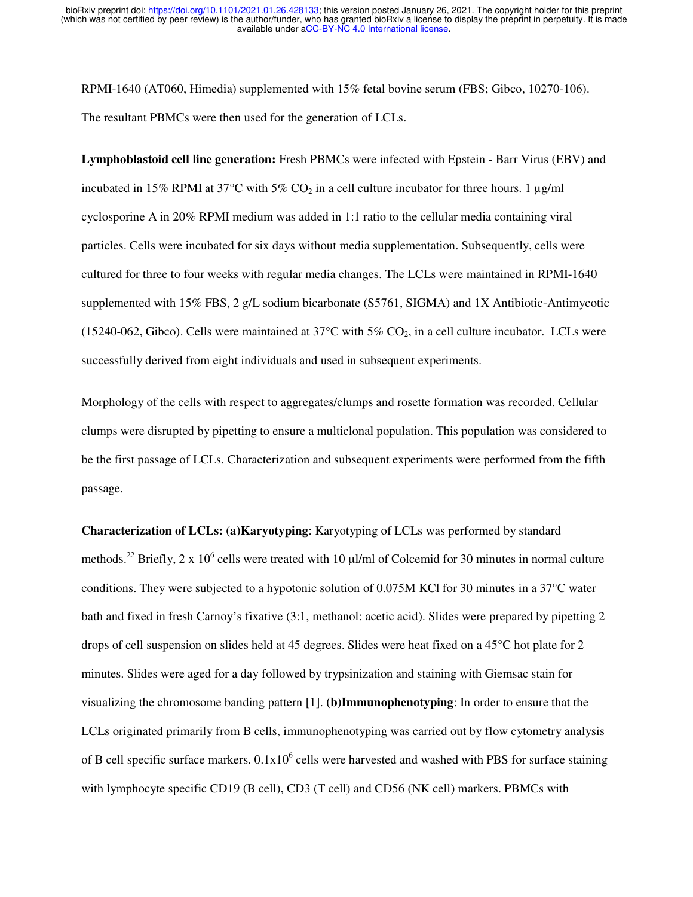RPMI-1640 (AT060, Himedia) supplemented with 15% fetal bovine serum (FBS; Gibco, 10270-106). The resultant PBMCs were then used for the generation of LCLs.

**Lymphoblastoid cell line generation:** Fresh PBMCs were infected with Epstein - Barr Virus (EBV) and incubated in 15% RPMI at 37°C with 5% CO<sub>2</sub> in a cell culture incubator for three hours. 1  $\mu$ g/ml cyclosporine A in 20% RPMI medium was added in 1:1 ratio to the cellular media containing viral particles. Cells were incubated for six days without media supplementation. Subsequently, cells were cultured for three to four weeks with regular media changes. The LCLs were maintained in RPMI-1640 supplemented with 15% FBS, 2 g/L sodium bicarbonate (S5761, SIGMA) and 1X Antibiotic-Antimycotic (15240-062, Gibco). Cells were maintained at  $37^{\circ}$ C with  $5\%$  CO<sub>2</sub>, in a cell culture incubator. LCLs were successfully derived from eight individuals and used in subsequent experiments.

Morphology of the cells with respect to aggregates/clumps and rosette formation was recorded. Cellular clumps were disrupted by pipetting to ensure a multiclonal population. This population was considered to be the first passage of LCLs. Characterization and subsequent experiments were performed from the fifth passage.

**Characterization of LCLs: (a)Karyotyping**: Karyotyping of LCLs was performed by standard methods.<sup>22</sup> Briefly, 2 x 10<sup>6</sup> cells were treated with 10  $\mu$ l/ml of Colcemid for 30 minutes in normal culture conditions. They were subjected to a hypotonic solution of 0.075M KCl for 30 minutes in a 37°C water bath and fixed in fresh Carnoy's fixative (3:1, methanol: acetic acid). Slides were prepared by pipetting 2 drops of cell suspension on slides held at 45 degrees. Slides were heat fixed on a 45°C hot plate for 2 minutes. Slides were aged for a day followed by trypsinization and staining with Giemsac stain for visualizing the chromosome banding pattern [1]. **(b)Immunophenotyping**: In order to ensure that the LCLs originated primarily from B cells, immunophenotyping was carried out by flow cytometry analysis of B cell specific surface markers.  $0.1x10^6$  cells were harvested and washed with PBS for surface staining with lymphocyte specific CD19 (B cell), CD3 (T cell) and CD56 (NK cell) markers. PBMCs with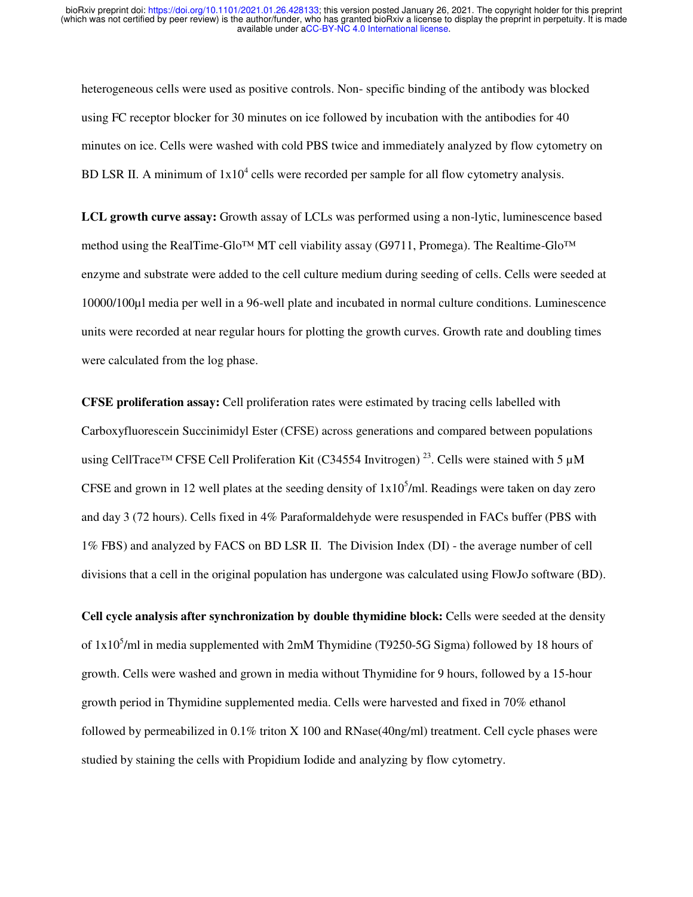heterogeneous cells were used as positive controls. Non- specific binding of the antibody was blocked using FC receptor blocker for 30 minutes on ice followed by incubation with the antibodies for 40 minutes on ice. Cells were washed with cold PBS twice and immediately analyzed by flow cytometry on BD LSR II. A minimum of  $1x10^4$  cells were recorded per sample for all flow cytometry analysis.

**LCL growth curve assay:** Growth assay of LCLs was performed using a non-lytic, luminescence based method using the RealTime-Glo™ MT cell viability assay (G9711, Promega). The Realtime-Glo™ enzyme and substrate were added to the cell culture medium during seeding of cells. Cells were seeded at 10000/100µl media per well in a 96-well plate and incubated in normal culture conditions. Luminescence units were recorded at near regular hours for plotting the growth curves. Growth rate and doubling times were calculated from the log phase.

**CFSE proliferation assay:** Cell proliferation rates were estimated by tracing cells labelled with Carboxyfluorescein Succinimidyl Ester (CFSE) across generations and compared between populations using CellTrace<sup>TM</sup> CFSE Cell Proliferation Kit (C34554 Invitrogen)<sup>23</sup>. Cells were stained with 5  $\mu$ M CFSE and grown in 12 well plates at the seeding density of  $1x10<sup>5</sup>/ml$ . Readings were taken on day zero and day 3 (72 hours). Cells fixed in 4% Paraformaldehyde were resuspended in FACs buffer (PBS with 1% FBS) and analyzed by FACS on BD LSR II. The Division Index (DI) - the average number of cell divisions that a cell in the original population has undergone was calculated using FlowJo software (BD).

**Cell cycle analysis after synchronization by double thymidine block:** Cells were seeded at the density of  $1x10<sup>5</sup>/ml$  in media supplemented with 2mM Thymidine (T9250-5G Sigma) followed by 18 hours of growth. Cells were washed and grown in media without Thymidine for 9 hours, followed by a 15-hour growth period in Thymidine supplemented media. Cells were harvested and fixed in 70% ethanol followed by permeabilized in 0.1% triton X 100 and RNase(40ng/ml) treatment. Cell cycle phases were studied by staining the cells with Propidium Iodide and analyzing by flow cytometry.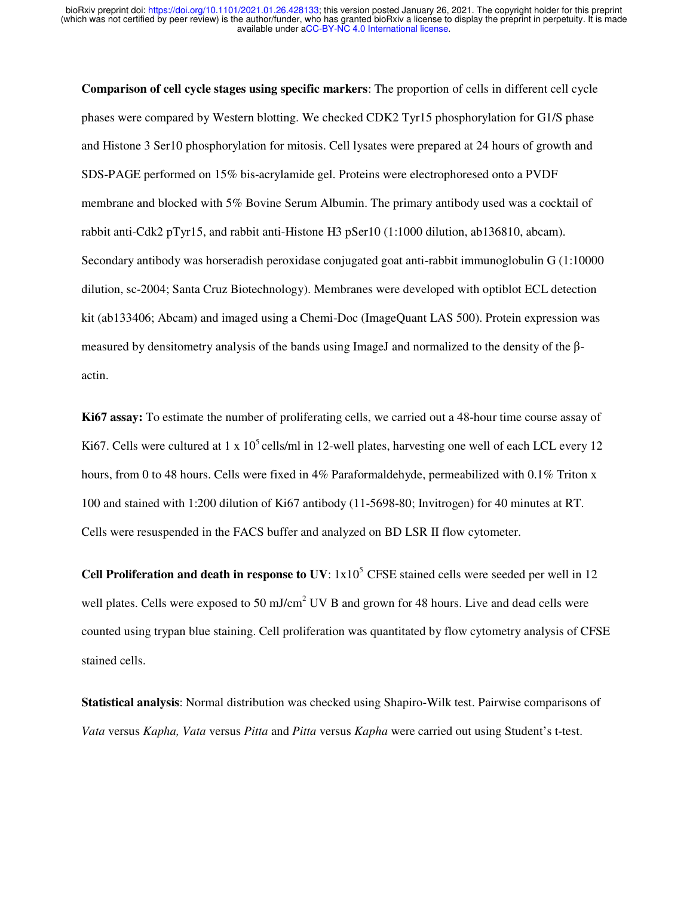**Comparison of cell cycle stages using specific markers**: The proportion of cells in different cell cycle phases were compared by Western blotting. We checked CDK2 Tyr15 phosphorylation for G1/S phase and Histone 3 Ser10 phosphorylation for mitosis. Cell lysates were prepared at 24 hours of growth and SDS-PAGE performed on 15% bis-acrylamide gel. Proteins were electrophoresed onto a PVDF membrane and blocked with 5% Bovine Serum Albumin. The primary antibody used was a cocktail of rabbit anti-Cdk2 pTyr15, and rabbit anti-Histone H3 pSer10 (1:1000 dilution, ab136810, abcam). Secondary antibody was horseradish peroxidase conjugated goat anti-rabbit immunoglobulin G (1:10000 dilution, sc-2004; Santa Cruz Biotechnology). Membranes were developed with optiblot ECL detection kit (ab133406; Abcam) and imaged using a Chemi-Doc (ImageQuant LAS 500). Protein expression was measured by densitometry analysis of the bands using ImageJ and normalized to the density of the βactin.

**Ki67 assay:** To estimate the number of proliferating cells, we carried out a 48-hour time course assay of Ki67. Cells were cultured at 1 x  $10^5$  cells/ml in 12-well plates, harvesting one well of each LCL every 12 hours, from 0 to 48 hours. Cells were fixed in 4% Paraformaldehyde, permeabilized with 0.1% Triton x 100 and stained with 1:200 dilution of Ki67 antibody (11-5698-80; Invitrogen) for 40 minutes at RT. Cells were resuspended in the FACS buffer and analyzed on BD LSR II flow cytometer.

**Cell Proliferation and death in response to UV:**  $1x10^5$  CFSE stained cells were seeded per well in 12 well plates. Cells were exposed to 50 mJ/cm<sup>2</sup> UV B and grown for 48 hours. Live and dead cells were counted using trypan blue staining. Cell proliferation was quantitated by flow cytometry analysis of CFSE stained cells.

**Statistical analysis**: Normal distribution was checked using Shapiro-Wilk test. Pairwise comparisons of *Vata* versus *Kapha, Vata* versus *Pitta* and *Pitta* versus *Kapha* were carried out using Student's t-test.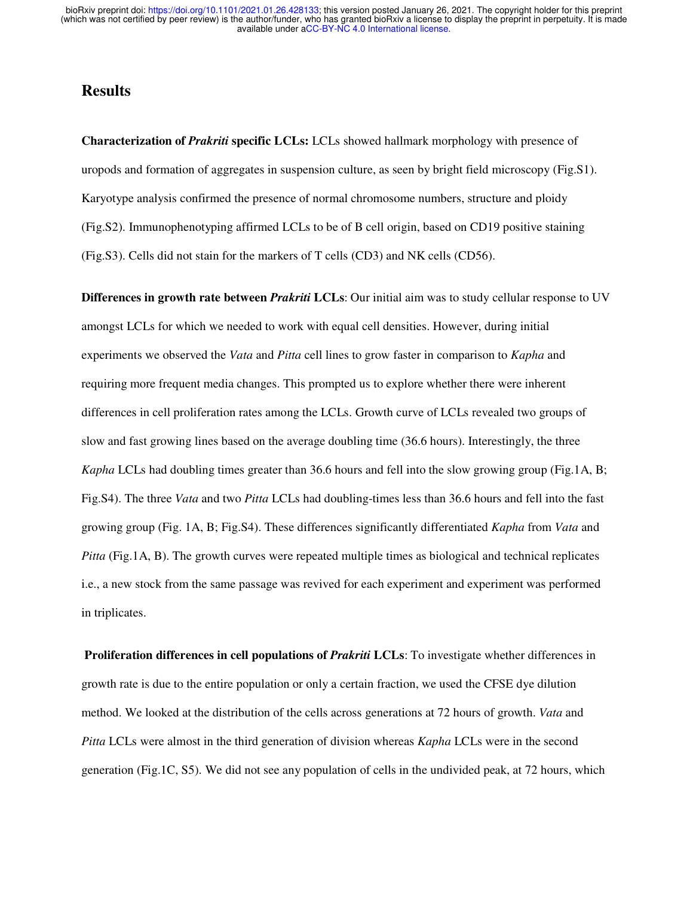#### **Results**

**Characterization of** *Prakriti* **specific LCLs:** LCLs showed hallmark morphology with presence of uropods and formation of aggregates in suspension culture, as seen by bright field microscopy (Fig.S1). Karyotype analysis confirmed the presence of normal chromosome numbers, structure and ploidy (Fig.S2). Immunophenotyping affirmed LCLs to be of B cell origin, based on CD19 positive staining (Fig.S3). Cells did not stain for the markers of T cells (CD3) and NK cells (CD56).

**Differences in growth rate between** *Prakriti* **LCLs**: Our initial aim was to study cellular response to UV amongst LCLs for which we needed to work with equal cell densities. However, during initial experiments we observed the *Vata* and *Pitta* cell lines to grow faster in comparison to *Kapha* and requiring more frequent media changes. This prompted us to explore whether there were inherent differences in cell proliferation rates among the LCLs. Growth curve of LCLs revealed two groups of slow and fast growing lines based on the average doubling time (36.6 hours). Interestingly, the three *Kapha* LCLs had doubling times greater than 36.6 hours and fell into the slow growing group (Fig.1A, B; Fig.S4). The three *Vata* and two *Pitta* LCLs had doubling-times less than 36.6 hours and fell into the fast growing group (Fig. 1A, B; Fig.S4). These differences significantly differentiated *Kapha* from *Vata* and *Pitta* (Fig.1A, B). The growth curves were repeated multiple times as biological and technical replicates i.e., a new stock from the same passage was revived for each experiment and experiment was performed in triplicates.

**Proliferation differences in cell populations of** *Prakriti* **LCLs:** To investigate whether differences in growth rate is due to the entire population or only a certain fraction, we used the CFSE dye dilution method. We looked at the distribution of the cells across generations at 72 hours of growth. *Vata* and *Pitta* LCLs were almost in the third generation of division whereas *Kapha* LCLs were in the second generation (Fig.1C, S5). We did not see any population of cells in the undivided peak, at 72 hours, which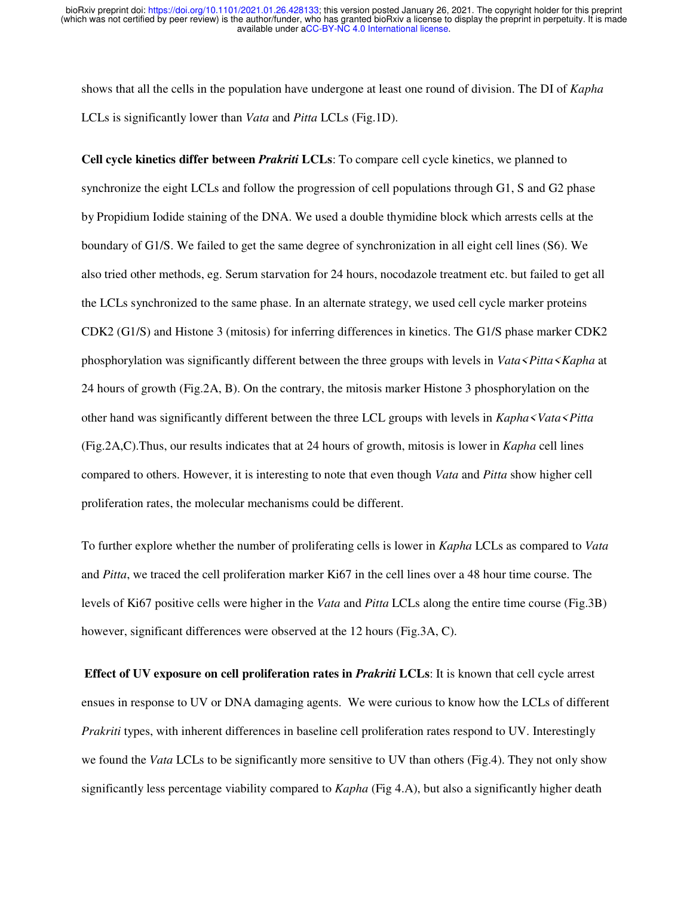shows that all the cells in the population have undergone at least one round of division. The DI of *Kapha* LCLs is significantly lower than *Vata* and *Pitta* LCLs (Fig.1D).

**Cell cycle kinetics differ between** *Prakriti* **LCLs**: To compare cell cycle kinetics, we planned to synchronize the eight LCLs and follow the progression of cell populations through G1, S and G2 phase by Propidium Iodide staining of the DNA. We used a double thymidine block which arrests cells at the boundary of G1/S. We failed to get the same degree of synchronization in all eight cell lines (S6). We also tried other methods, eg. Serum starvation for 24 hours, nocodazole treatment etc. but failed to get all the LCLs synchronized to the same phase. In an alternate strategy, we used cell cycle marker proteins CDK2 (G1/S) and Histone 3 (mitosis) for inferring differences in kinetics. The G1/S phase marker CDK2 phosphorylation was significantly different between the three groups with levels in *Vata<Pitta<Kapha* at 24 hours of growth (Fig.2A, B). On the contrary, the mitosis marker Histone 3 phosphorylation on the other hand was significantly different between the three LCL groups with levels in *Kapha<Vata<Pitta* (Fig.2A,C).Thus, our results indicates that at 24 hours of growth, mitosis is lower in *Kapha* cell lines compared to others. However, it is interesting to note that even though *Vata* and *Pitta* show higher cell proliferation rates, the molecular mechanisms could be different.

To further explore whether the number of proliferating cells is lower in *Kapha* LCLs as compared to *Vata* and *Pitta*, we traced the cell proliferation marker Ki67 in the cell lines over a 48 hour time course. The levels of Ki67 positive cells were higher in the *Vata* and *Pitta* LCLs along the entire time course (Fig.3B) however, significant differences were observed at the 12 hours (Fig.3A, C).

**Effect of UV exposure on cell proliferation rates in** *Prakriti* **LCLs**: It is known that cell cycle arrest ensues in response to UV or DNA damaging agents. We were curious to know how the LCLs of different *Prakriti* types, with inherent differences in baseline cell proliferation rates respond to UV. Interestingly we found the *Vata* LCLs to be significantly more sensitive to UV than others (Fig.4). They not only show significantly less percentage viability compared to *Kapha* (Fig 4.A), but also a significantly higher death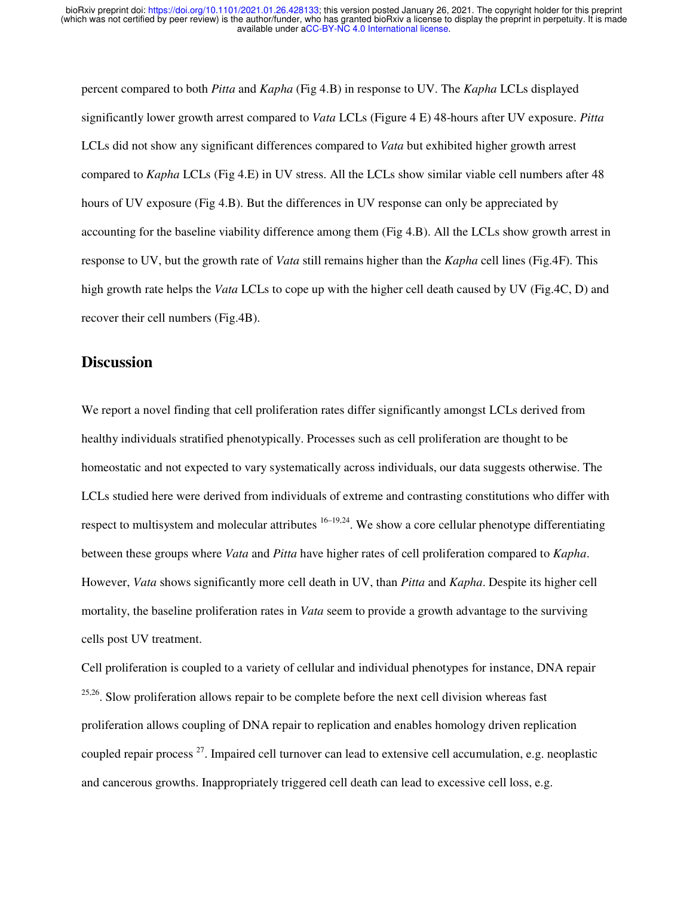percent compared to both *Pitta* and *Kapha* (Fig 4.B) in response to UV. The *Kapha* LCLs displayed significantly lower growth arrest compared to *Vata* LCLs (Figure 4 E) 48-hours after UV exposure. *Pitta* LCLs did not show any significant differences compared to *Vata* but exhibited higher growth arrest compared to *Kapha* LCLs (Fig 4.E) in UV stress. All the LCLs show similar viable cell numbers after 48 hours of UV exposure (Fig 4.B). But the differences in UV response can only be appreciated by accounting for the baseline viability difference among them (Fig 4.B). All the LCLs show growth arrest in response to UV, but the growth rate of *Vata* still remains higher than the *Kapha* cell lines (Fig.4F). This high growth rate helps the *Vata* LCLs to cope up with the higher cell death caused by UV (Fig.4C, D) and recover their cell numbers (Fig.4B).

#### **Discussion**

We report a novel finding that cell proliferation rates differ significantly amongst LCLs derived from healthy individuals stratified phenotypically. Processes such as cell proliferation are thought to be homeostatic and not expected to vary systematically across individuals, our data suggests otherwise. The LCLs studied here were derived from individuals of extreme and contrasting constitutions who differ with respect to multisystem and molecular attributes  $16-19,24$ . We show a core cellular phenotype differentiating between these groups where *Vata* and *Pitta* have higher rates of cell proliferation compared to *Kapha*. However, *Vata* shows significantly more cell death in UV, than *Pitta* and *Kapha*. Despite its higher cell mortality, the baseline proliferation rates in *Vata* seem to provide a growth advantage to the surviving cells post UV treatment.

Cell proliferation is coupled to a variety of cellular and individual phenotypes for instance, DNA repair  $25,26$ . Slow proliferation allows repair to be complete before the next cell division whereas fast proliferation allows coupling of DNA repair to replication and enables homology driven replication coupled repair process <sup>27</sup>. Impaired cell turnover can lead to extensive cell accumulation, e.g. neoplastic and cancerous growths. Inappropriately triggered cell death can lead to excessive cell loss, e.g.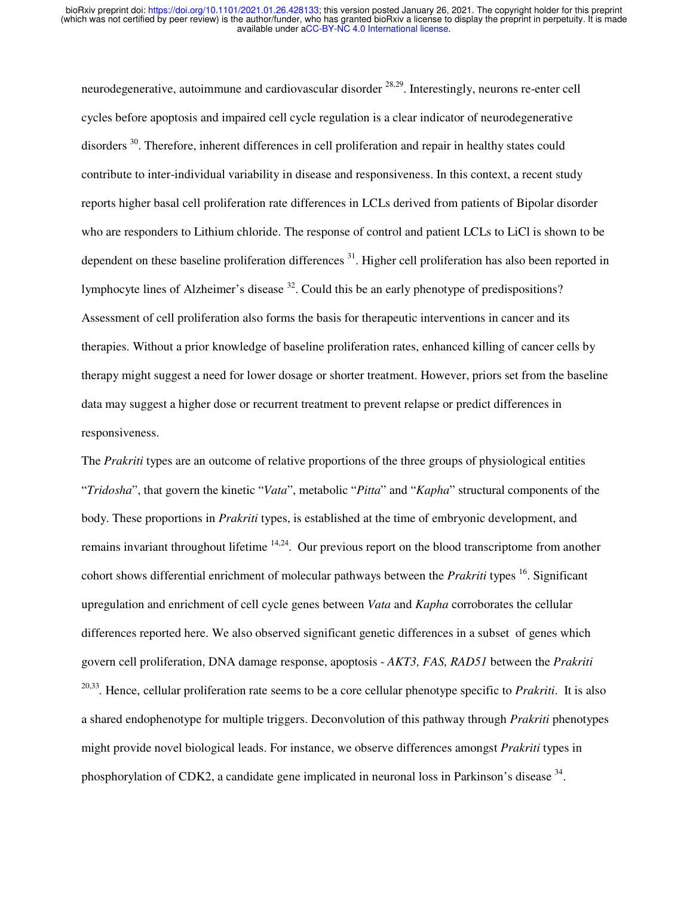neurodegenerative, autoimmune and cardiovascular disorder <sup>28,29</sup>. Interestingly, neurons re-enter cell cycles before apoptosis and impaired cell cycle regulation is a clear indicator of neurodegenerative disorders <sup>30</sup>. Therefore, inherent differences in cell proliferation and repair in healthy states could contribute to inter-individual variability in disease and responsiveness. In this context, a recent study reports higher basal cell proliferation rate differences in LCLs derived from patients of Bipolar disorder who are responders to Lithium chloride. The response of control and patient LCLs to LiCl is shown to be dependent on these baseline proliferation differences <sup>31</sup>. Higher cell proliferation has also been reported in lymphocyte lines of Alzheimer's disease  $32$ . Could this be an early phenotype of predispositions? Assessment of cell proliferation also forms the basis for therapeutic interventions in cancer and its therapies. Without a prior knowledge of baseline proliferation rates, enhanced killing of cancer cells by therapy might suggest a need for lower dosage or shorter treatment. However, priors set from the baseline data may suggest a higher dose or recurrent treatment to prevent relapse or predict differences in responsiveness.

The *Prakriti* types are an outcome of relative proportions of the three groups of physiological entities "*Tridosha*", that govern the kinetic "*Vata*", metabolic "*Pitta*" and "*Kapha*" structural components of the body. These proportions in *Prakriti* types, is established at the time of embryonic development, and remains invariant throughout lifetime  $14,24$ . Our previous report on the blood transcriptome from another cohort shows differential enrichment of molecular pathways between the *Prakriti* types <sup>16</sup>. Significant upregulation and enrichment of cell cycle genes between *Vata* and *Kapha* corroborates the cellular differences reported here. We also observed significant genetic differences in a subset of genes which govern cell proliferation, DNA damage response, apoptosis - *AKT3, FAS, RAD51* between the *Prakriti*  20,33 *.* Hence, cellular proliferation rate seems to be a core cellular phenotype specific to *Prakriti*. It is also a shared endophenotype for multiple triggers. Deconvolution of this pathway through *Prakriti* phenotypes might provide novel biological leads. For instance, we observe differences amongst *Prakriti* types in phosphorylation of CDK2, a candidate gene implicated in neuronal loss in Parkinson's disease <sup>34</sup>.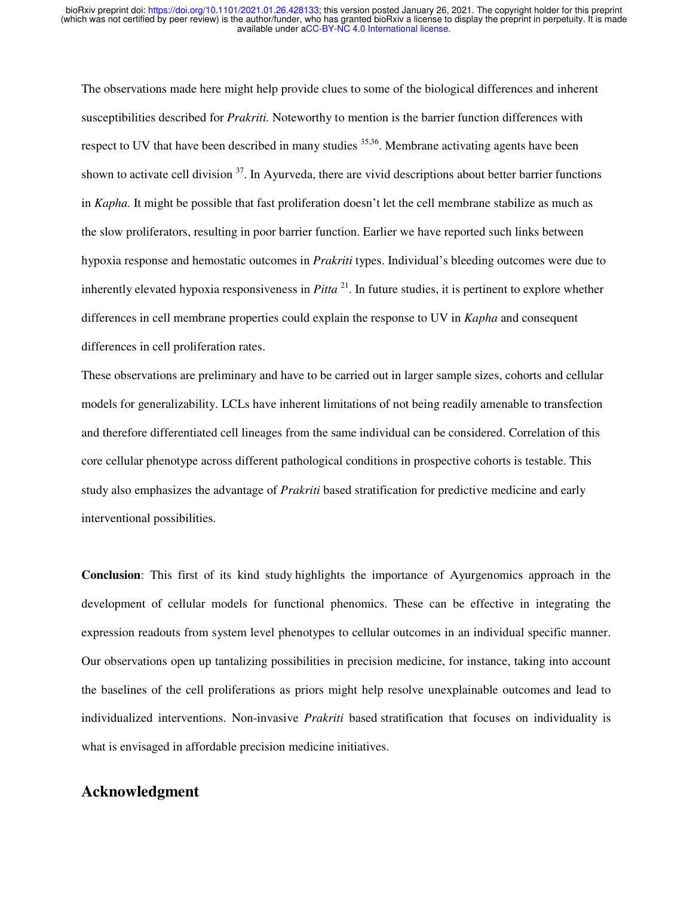The observations made here might help provide clues to some of the biological differences and inherent susceptibilities described for *Prakriti.* Noteworthy to mention is the barrier function differences with respect to UV that have been described in many studies <sup>35,36</sup>. Membrane activating agents have been shown to activate cell division  $37$ . In Ayurveda, there are vivid descriptions about better barrier functions in *Kapha.* It might be possible that fast proliferation doesn't let the cell membrane stabilize as much as the slow proliferators, resulting in poor barrier function. Earlier we have reported such links between hypoxia response and hemostatic outcomes in *Prakriti* types. Individual's bleeding outcomes were due to inherently elevated hypoxia responsiveness in *Pitta* <sup>21</sup>. In future studies, it is pertinent to explore whether differences in cell membrane properties could explain the response to UV in *Kapha* and consequent differences in cell proliferation rates.

These observations are preliminary and have to be carried out in larger sample sizes, cohorts and cellular models for generalizability. LCLs have inherent limitations of not being readily amenable to transfection and therefore differentiated cell lineages from the same individual can be considered. Correlation of this core cellular phenotype across different pathological conditions in prospective cohorts is testable. This study also emphasizes the advantage of *Prakriti* based stratification for predictive medicine and early interventional possibilities.

**Conclusion**: This first of its kind study highlights the importance of Ayurgenomics approach in the development of cellular models for functional phenomics. These can be effective in integrating the expression readouts from system level phenotypes to cellular outcomes in an individual specific manner. Our observations open up tantalizing possibilities in precision medicine, for instance, taking into account the baselines of the cell proliferations as priors might help resolve unexplainable outcomes and lead to individualized interventions. Non-invasive *Prakriti* based stratification that focuses on individuality is what is envisaged in affordable precision medicine initiatives.

#### **Acknowledgment**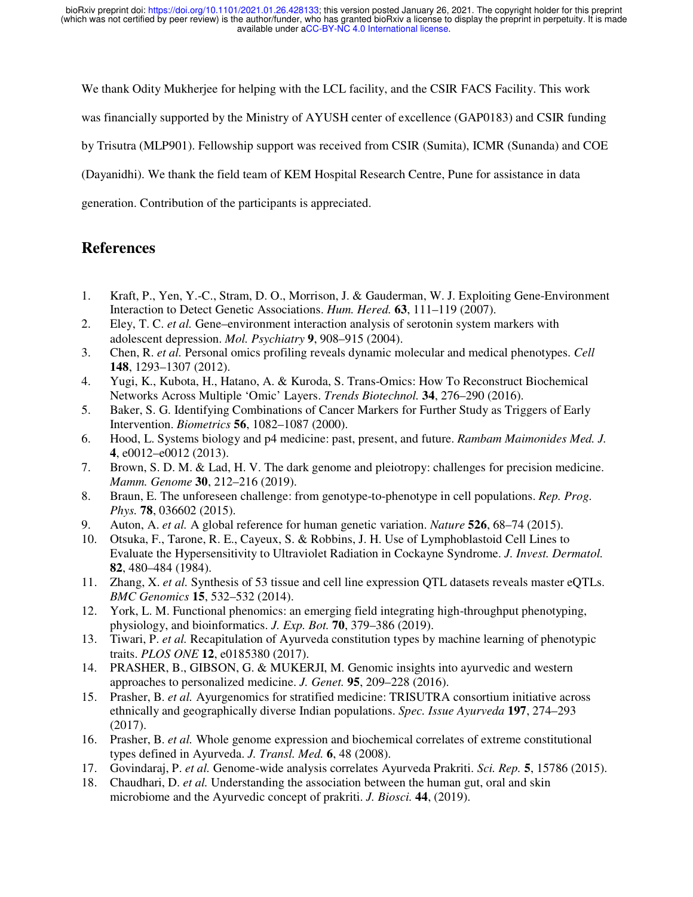We thank Odity Mukherjee for helping with the LCL facility, and the CSIR FACS Facility. This work

was financially supported by the Ministry of AYUSH center of excellence (GAP0183) and CSIR funding

by Trisutra (MLP901). Fellowship support was received from CSIR (Sumita), ICMR (Sunanda) and COE

(Dayanidhi). We thank the field team of KEM Hospital Research Centre, Pune for assistance in data

generation. Contribution of the participants is appreciated.

#### **References**

- 1. Kraft, P., Yen, Y.-C., Stram, D. O., Morrison, J. & Gauderman, W. J. Exploiting Gene-Environment Interaction to Detect Genetic Associations. *Hum. Hered.* **63**, 111–119 (2007).
- 2. Eley, T. C. *et al.* Gene–environment interaction analysis of serotonin system markers with adolescent depression. *Mol. Psychiatry* **9**, 908–915 (2004).
- 3. Chen, R. *et al.* Personal omics profiling reveals dynamic molecular and medical phenotypes. *Cell* **148**, 1293–1307 (2012).
- 4. Yugi, K., Kubota, H., Hatano, A. & Kuroda, S. Trans-Omics: How To Reconstruct Biochemical Networks Across Multiple 'Omic' Layers. *Trends Biotechnol.* **34**, 276–290 (2016).
- 5. Baker, S. G. Identifying Combinations of Cancer Markers for Further Study as Triggers of Early Intervention. *Biometrics* **56**, 1082–1087 (2000).
- 6. Hood, L. Systems biology and p4 medicine: past, present, and future. *Rambam Maimonides Med. J.* **4**, e0012–e0012 (2013).
- 7. Brown, S. D. M. & Lad, H. V. The dark genome and pleiotropy: challenges for precision medicine. *Mamm. Genome* **30**, 212–216 (2019).
- 8. Braun, E. The unforeseen challenge: from genotype-to-phenotype in cell populations. *Rep. Prog. Phys.* **78**, 036602 (2015).
- 9. Auton, A. *et al.* A global reference for human genetic variation. *Nature* **526**, 68–74 (2015).
- 10. Otsuka, F., Tarone, R. E., Cayeux, S. & Robbins, J. H. Use of Lymphoblastoid Cell Lines to Evaluate the Hypersensitivity to Ultraviolet Radiation in Cockayne Syndrome. *J. Invest. Dermatol.* **82**, 480–484 (1984).
- 11. Zhang, X. *et al.* Synthesis of 53 tissue and cell line expression QTL datasets reveals master eQTLs. *BMC Genomics* **15**, 532–532 (2014).
- 12. York, L. M. Functional phenomics: an emerging field integrating high-throughput phenotyping, physiology, and bioinformatics. *J. Exp. Bot.* **70**, 379–386 (2019).
- 13. Tiwari, P. *et al.* Recapitulation of Ayurveda constitution types by machine learning of phenotypic traits. *PLOS ONE* **12**, e0185380 (2017).
- 14. PRASHER, B., GIBSON, G. & MUKERJI, M. Genomic insights into ayurvedic and western approaches to personalized medicine. *J. Genet.* **95**, 209–228 (2016).
- 15. Prasher, B. *et al.* Ayurgenomics for stratified medicine: TRISUTRA consortium initiative across ethnically and geographically diverse Indian populations. *Spec. Issue Ayurveda* **197**, 274–293 (2017).
- 16. Prasher, B. *et al.* Whole genome expression and biochemical correlates of extreme constitutional types defined in Ayurveda. *J. Transl. Med.* **6**, 48 (2008).
- 17. Govindaraj, P. *et al.* Genome-wide analysis correlates Ayurveda Prakriti. *Sci. Rep.* **5**, 15786 (2015).
- 18. Chaudhari, D. *et al.* Understanding the association between the human gut, oral and skin microbiome and the Ayurvedic concept of prakriti. *J. Biosci.* **44**, (2019).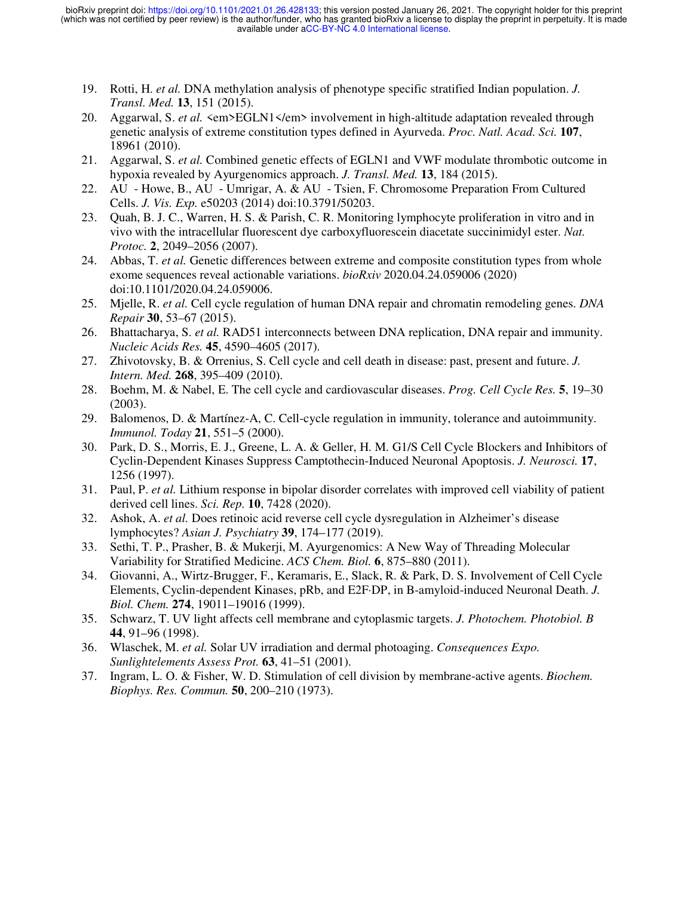- 19. Rotti, H. *et al.* DNA methylation analysis of phenotype specific stratified Indian population. *J. Transl. Med.* **13**, 151 (2015).
- 20. Aggarwal, S. *et al.* <em>EGLN1</em> involvement in high-altitude adaptation revealed through genetic analysis of extreme constitution types defined in Ayurveda. *Proc. Natl. Acad. Sci.* **107**, 18961 (2010).
- 21. Aggarwal, S. *et al.* Combined genetic effects of EGLN1 and VWF modulate thrombotic outcome in hypoxia revealed by Ayurgenomics approach. *J. Transl. Med.* **13**, 184 (2015).
- 22. AU Howe, B., AU Umrigar, A. & AU Tsien, F. Chromosome Preparation From Cultured Cells. *J. Vis. Exp.* e50203 (2014) doi:10.3791/50203.
- 23. Quah, B. J. C., Warren, H. S. & Parish, C. R. Monitoring lymphocyte proliferation in vitro and in vivo with the intracellular fluorescent dye carboxyfluorescein diacetate succinimidyl ester. *Nat. Protoc.* **2**, 2049–2056 (2007).
- 24. Abbas, T. *et al.* Genetic differences between extreme and composite constitution types from whole exome sequences reveal actionable variations. *bioRxiv* 2020.04.24.059006 (2020) doi:10.1101/2020.04.24.059006.
- 25. Mjelle, R. *et al.* Cell cycle regulation of human DNA repair and chromatin remodeling genes. *DNA Repair* **30**, 53–67 (2015).
- 26. Bhattacharya, S. *et al.* RAD51 interconnects between DNA replication, DNA repair and immunity. *Nucleic Acids Res.* **45**, 4590–4605 (2017).
- 27. Zhivotovsky, B. & Orrenius, S. Cell cycle and cell death in disease: past, present and future. *J. Intern. Med.* **268**, 395–409 (2010).
- 28. Boehm, M. & Nabel, E. The cell cycle and cardiovascular diseases. *Prog. Cell Cycle Res.* **5**, 19–30 (2003).
- 29. Balomenos, D. & Martínez-A, C. Cell-cycle regulation in immunity, tolerance and autoimmunity. *Immunol. Today* **21**, 551–5 (2000).
- 30. Park, D. S., Morris, E. J., Greene, L. A. & Geller, H. M. G1/S Cell Cycle Blockers and Inhibitors of Cyclin-Dependent Kinases Suppress Camptothecin-Induced Neuronal Apoptosis. *J. Neurosci.* **17**, 1256 (1997).
- 31. Paul, P. *et al.* Lithium response in bipolar disorder correlates with improved cell viability of patient derived cell lines. *Sci. Rep.* **10**, 7428 (2020).
- 32. Ashok, A. *et al.* Does retinoic acid reverse cell cycle dysregulation in Alzheimer's disease lymphocytes? *Asian J. Psychiatry* **39**, 174–177 (2019).
- 33. Sethi, T. P., Prasher, B. & Mukerji, M. Ayurgenomics: A New Way of Threading Molecular Variability for Stratified Medicine. *ACS Chem. Biol.* **6**, 875–880 (2011).
- 34. Giovanni, A., Wirtz-Brugger, F., Keramaris, E., Slack, R. & Park, D. S. Involvement of Cell Cycle Elements, Cyclin-dependent Kinases, pRb, and E2F·DP, in B-amyloid-induced Neuronal Death. *J. Biol. Chem.* **274**, 19011–19016 (1999).
- 35. Schwarz, T. UV light affects cell membrane and cytoplasmic targets. *J. Photochem. Photobiol. B* **44**, 91–96 (1998).
- 36. Wlaschek, M. *et al.* Solar UV irradiation and dermal photoaging. *Consequences Expo. Sunlightelements Assess Prot.* **63**, 41–51 (2001).
- 37. Ingram, L. O. & Fisher, W. D. Stimulation of cell division by membrane-active agents. *Biochem. Biophys. Res. Commun.* **50**, 200–210 (1973).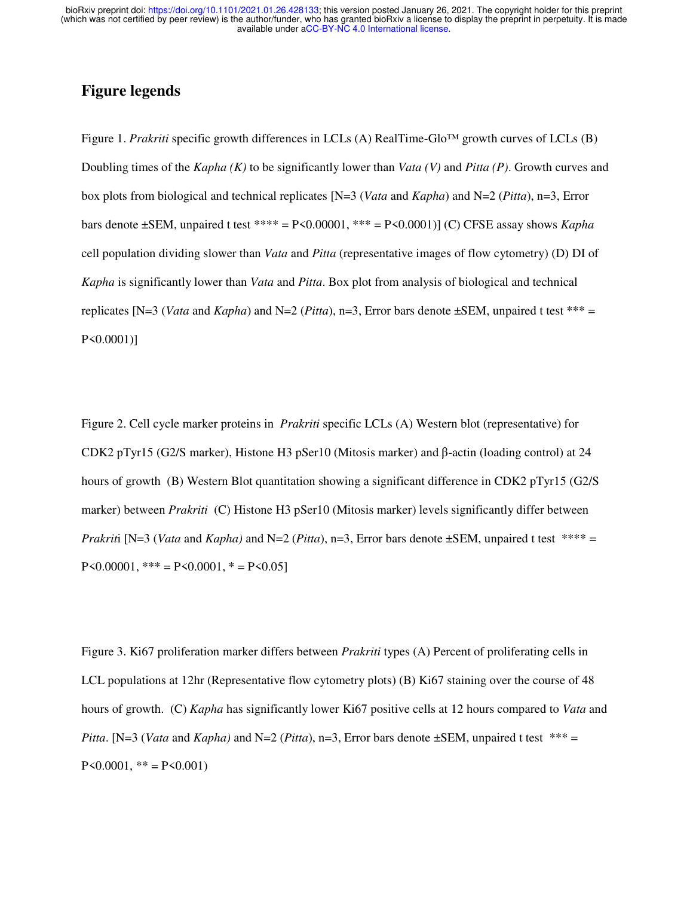## **Figure legends**

Figure 1. *Prakriti* specific growth differences in LCLs (A) RealTime-Glo™ growth curves of LCLs (B) Doubling times of the *Kapha (K)* to be significantly lower than *Vata (V)* and *Pitta (P)*. Growth curves and box plots from biological and technical replicates [N=3 (*Vata* and *Kapha*) and N=2 (*Pitta*), n=3, Error bars denote ±SEM, unpaired t test \*\*\*\* = P<0.00001, \*\*\* = P<0.0001)] (C) CFSE assay shows *Kapha* cell population dividing slower than *Vata* and *Pitta* (representative images of flow cytometry) (D) DI of *Kapha* is significantly lower than *Vata* and *Pitta*. Box plot from analysis of biological and technical replicates [N=3 (*Vata* and *Kapha*) and N=2 (*Pitta*), n=3, Error bars denote  $\pm$ SEM, unpaired t test \*\*\* = P<0.0001)]

Figure 2. Cell cycle marker proteins in *Prakriti* specific LCLs (A) Western blot (representative) for CDK2 pTyr15 (G2/S marker), Histone H3 pSer10 (Mitosis marker) and β-actin (loading control) at 24 hours of growth (B) Western Blot quantitation showing a significant difference in CDK2 pTyr15 (G2/S) marker) between *Prakriti* (C) Histone H3 pSer10 (Mitosis marker) levels significantly differ between *Prakrit*i [N=3 (*Vata* and *Kapha*) and N=2 (*Pitta*), n=3, Error bars denote  $\pm$ SEM, unpaired t test \*\*\*\* = P<0.00001, \*\*\* = P<0.0001, \* = P<0.05]

Figure 3. Ki67 proliferation marker differs between *Prakriti* types (A) Percent of proliferating cells in LCL populations at 12hr (Representative flow cytometry plots) (B) Ki67 staining over the course of 48 hours of growth. (C) *Kapha* has significantly lower Ki67 positive cells at 12 hours compared to *Vata* and *Pitta*. [N=3 (*Vata* and *Kapha*) and N=2 (*Pitta*), n=3, Error bars denote  $\pm$ SEM, unpaired t test \*\*\* =  $P \le 0.0001$ , \*\* =  $P \le 0.001$ )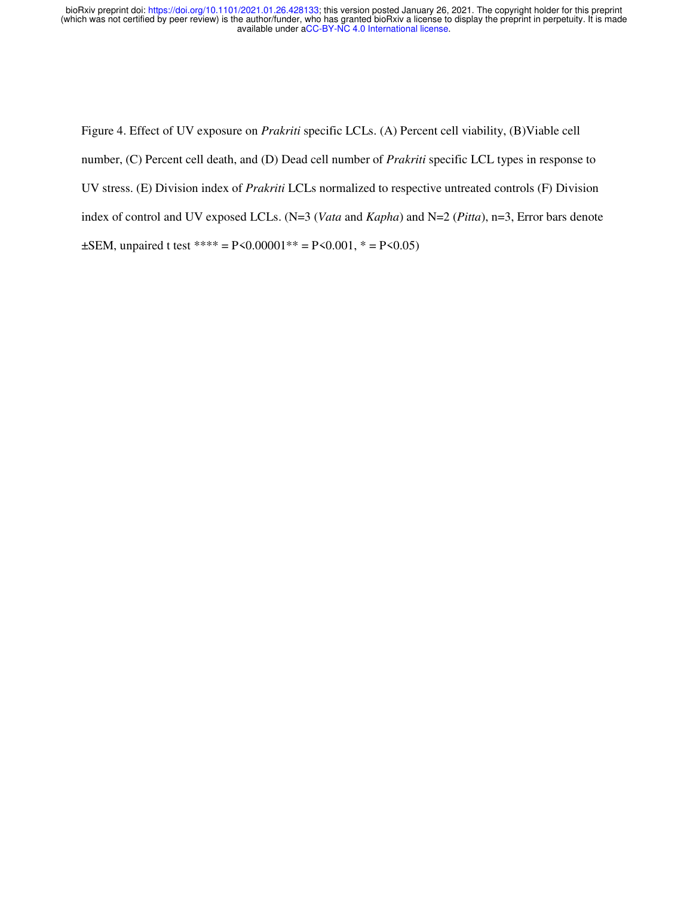Figure 4. Effect of UV exposure on *Prakriti* specific LCLs. (A) Percent cell viability, (B)Viable cell number, (C) Percent cell death, and (D) Dead cell number of *Prakriti* specific LCL types in response to UV stress. (E) Division index of *Prakriti* LCLs normalized to respective untreated controls (F) Division index of control and UV exposed LCLs. (N=3 (*Vata* and *Kapha*) and N=2 (*Pitta*), n=3, Error bars denote  $\pm$ SEM, unpaired t test \*\*\*\* = P<0.00001\*\* = P<0.001, \* = P<0.05)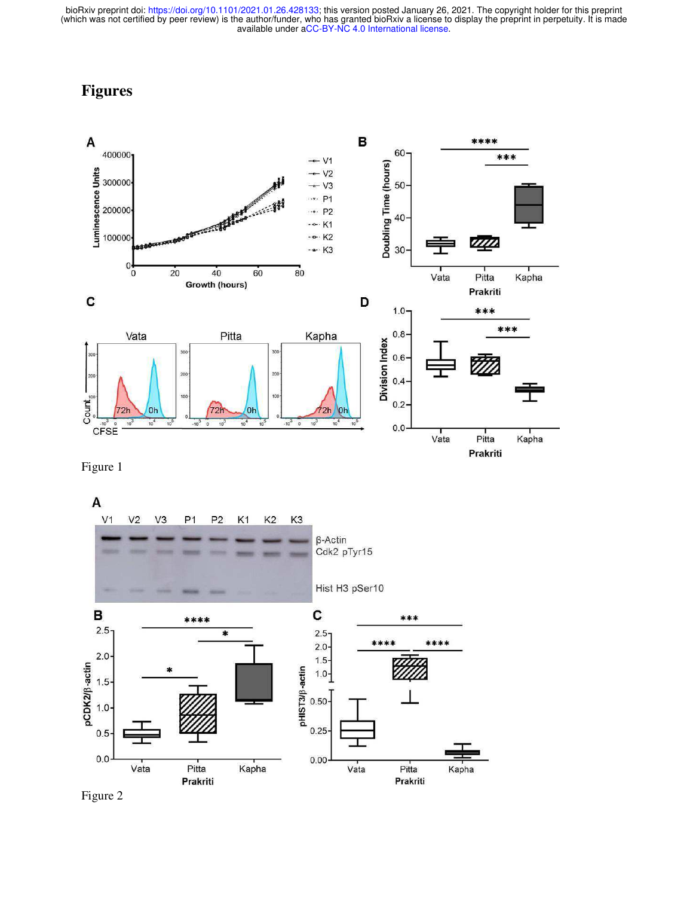## **Figures**



Figure 1

A



Figure 2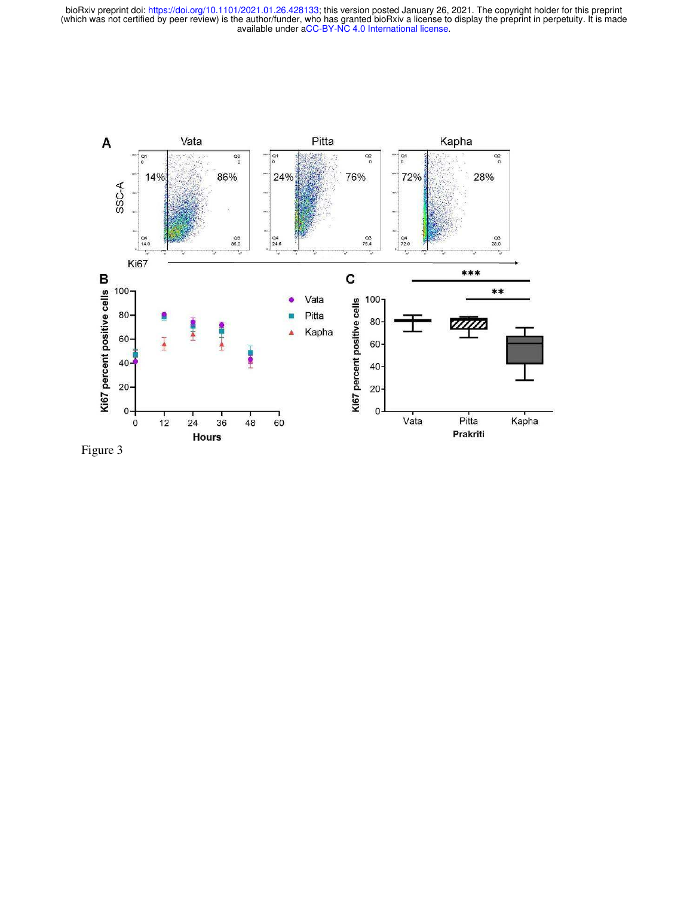

Figure 3